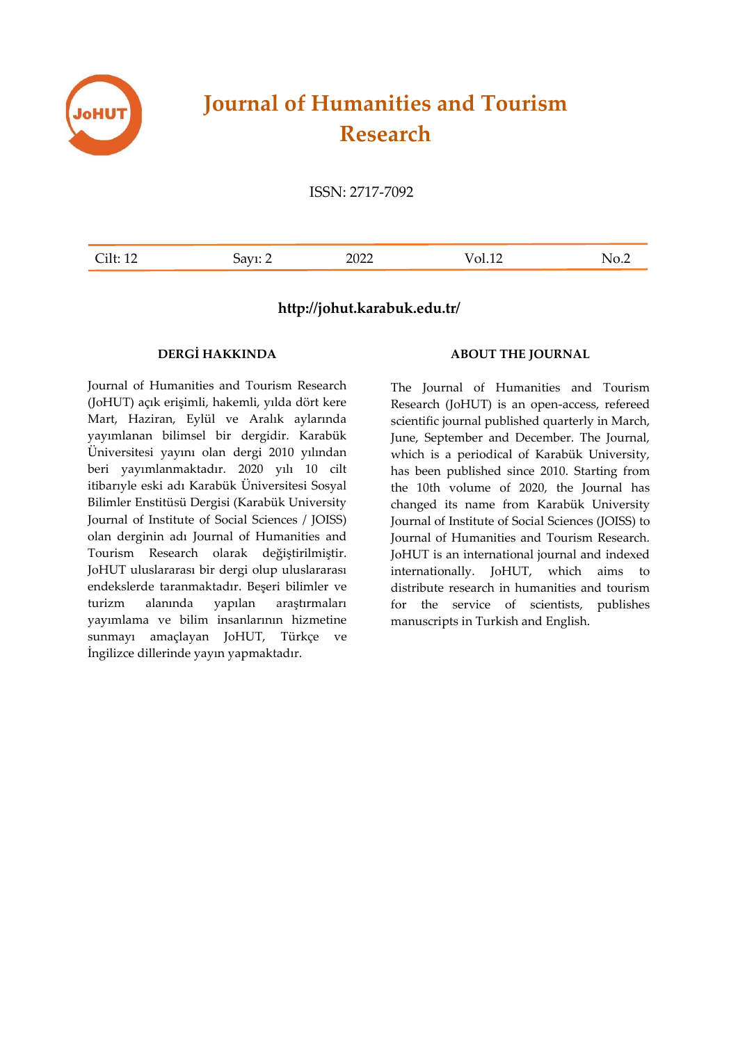

# **Journal of Humanities and Tourism Research**

ISSN: 2717-7092

| ---<br>-- | $- - - -$<br>$\overline{\phantom{0}}$ | $-0-1$ | ◥ |
|-----------|---------------------------------------|--------|---|
|           |                                       |        |   |

### **http://johut.karabuk.edu.tr/**

#### **DERGİ HAKKINDA**

Journal of Humanities and Tourism Research (JoHUT) açık erişimli, hakemli, yılda dört kere Mart, Haziran, Eylül ve Aralık aylarında yayımlanan bilimsel bir dergidir. Karabük Üniversitesi yayını olan dergi 2010 yılından beri yayımlanmaktadır. 2020 yılı 10 cilt itibarıyle eski adı Karabük Üniversitesi Sosyal Bilimler Enstitüsü Dergisi (Karabük University Journal of Institute of Social Sciences / JOISS) olan derginin adı Journal of Humanities and Tourism Research olarak değiştirilmiştir. JoHUT uluslararası bir dergi olup uluslararası endekslerde taranmaktadır. Beşeri bilimler ve turizm alanında yapılan araştırmaları yayımlama ve bilim insanlarının hizmetine sunmayı amaçlayan JoHUT, Türkçe ve İngilizce dillerinde yayın yapmaktadır.

#### **ABOUT THE JOURNAL**

The Journal of Humanities and Tourism Research (JoHUT) is an open-access, refereed scientific journal published quarterly in March, June, September and December. The Journal, which is a periodical of Karabük University, has been published since 2010. Starting from the 10th volume of 2020, the Journal has changed its name from Karabük University Journal of Institute of Social Sciences (JOISS) to Journal of Humanities and Tourism Research. JoHUT is an international journal and indexed internationally. JoHUT, which aims to distribute research in humanities and tourism for the service of scientists, publishes manuscripts in Turkish and English.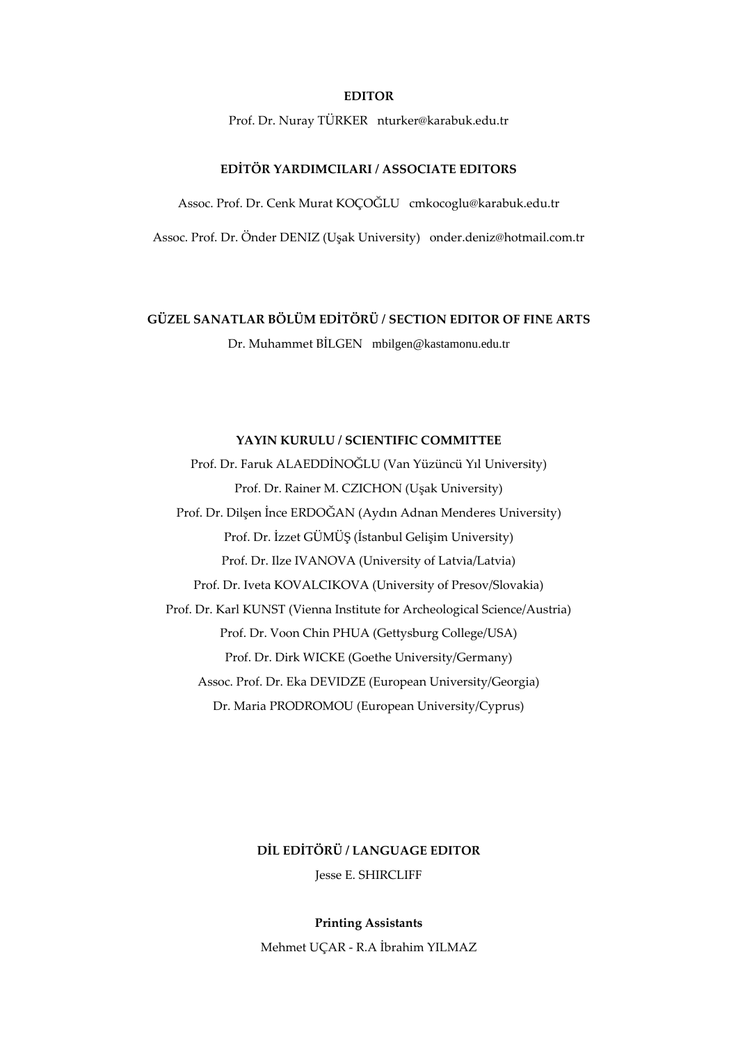#### **EDITOR**

Prof. Dr. Nuray TÜRKER nturker@karabuk.edu.tr

#### **EDİTÖR YARDIMCILARI / ASSOCIATE EDITORS**

Assoc. Prof. Dr. Cenk Murat KOÇOĞLU cmkocoglu@karabuk.edu.tr

Assoc. Prof. Dr. Önder DENIZ (Uşak University) onder.deniz@hotmail.com.tr

## **GÜZEL SANATLAR BÖLÜM EDİTÖRÜ / SECTION EDITOR OF FINE ARTS**

Dr. Muhammet BİLGEN mbilgen@kastamonu.edu.tr

#### **YAYIN KURULU / SCIENTIFIC COMMITTEE**

Prof. Dr. Faruk ALAEDDİNOĞLU (Van Yüzüncü Yıl University) Prof. Dr. Rainer M. CZICHON (Uşak University) Prof. Dr. Dilşen İnce ERDOĞAN (Aydın Adnan Menderes University) Prof. Dr. İzzet GÜMÜŞ (İstanbul Gelişim University) Prof. Dr. Ilze IVANOVA (University of Latvia/Latvia) Prof. Dr. Iveta KOVALCIKOVA (University of Presov/Slovakia) Prof. Dr. Karl KUNST (Vienna Institute for Archeological Science/Austria) Prof. Dr. Voon Chin PHUA (Gettysburg College/USA) Prof. Dr. Dirk WICKE (Goethe University/Germany) Assoc. Prof. Dr. Eka DEVIDZE (European University/Georgia) Dr. Maria PRODROMOU (European University/Cyprus)

### **DİL EDİTÖRÜ / LANGUAGE EDITOR**

Jesse E. SHIRCLIFF

#### **Printing Assistants**

Mehmet UÇAR - R.A İbrahim YILMAZ